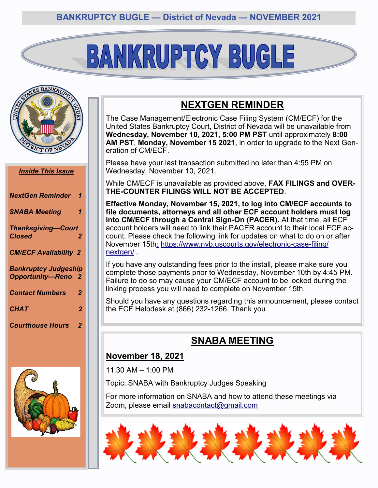# BANKRUPTCY BUGLE



#### *Inside This Issue*

| <b>NextGen Reminder</b>                                  | $\mathbf{1}$ |
|----------------------------------------------------------|--------------|
| <b>SNABA Meeting</b>                                     | 1            |
| <b>Thanksgiving-Court</b><br><b>Closed</b>               | 2            |
| <b>CM/ECF Availability 2</b>                             |              |
| <b>Bankruptcy Judgeship</b><br><b>Opportunity-Reno 2</b> |              |
| <b>Contact Numbers</b>                                   | $\mathbf{2}$ |
| <b>CHAT</b>                                              | 2            |
| <b>Courthouse Hours</b>                                  | 2            |



# **NEXTGEN REMINDER**

The Case Management/Electronic Case Filing System (CM/ECF) for the United States Bankruptcy Court, District of Nevada will be unavailable from **Wednesday, November 10, 2021**, **5:00 PM PST** until approximately **8:00 AM PST**, **Monday, November 15 2021**, in order to upgrade to the Next Generation of CM/ECF.

Please have your last transaction submitted no later than 4:55 PM on Wednesday, November 10, 2021.

While CM/ECF is unavailable as provided above, **FAX FILINGS and OVER-THE-COUNTER FILINGS WILL NOT BE ACCEPTED**.

**Effective Monday, November 15, 2021, to log into CM/ECF accounts to file documents, attorneys and all other ECF account holders must log into CM/ECF through a Central Sign-On (PACER).** At that time, all ECF account holders will need to link their PACER account to their local ECF account. Please check the following link for updates on what to do on or after November 15th[:](:%20https:/www.nvb.uscourts.gov/electronic-case-filing/nextgen/) [https://www.nvb.uscourts.gov/electronic](:%20https:/www.nvb.uscourts.gov/electronic-case-filing/nextgen/)-case-filing/ [nextgen/](:%20https:/www.nvb.uscourts.gov/electronic-case-filing/nextgen/)

If you have any outstanding fees prior to the install, please make sure you complete those payments prior to Wednesday, November 10th by 4:45 PM. Failure to do so may cause your CM/ECF account to be locked during the linking process you will need to complete on November 15th.

Should you have any questions regarding this announcement, please contact the ECF Helpdesk at (866) 232-1266. Thank you

# **SNABA MEETING**

### **November 18, 2021**

11:30 AM – 1:00 PM

Topic: SNABA with Bankruptcy Judges Speaking

For more information on SNABA and how to attend these meetings via Zoom, please email [snabacontact@gmail.com](mailto:snabacontact@gmail.com)